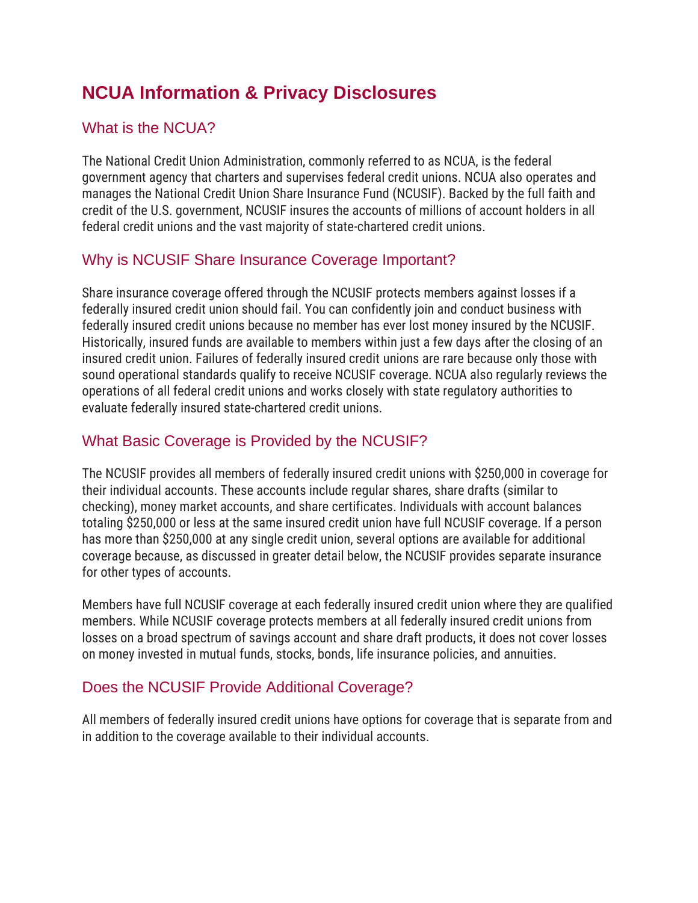# **NCUA Information & Privacy Disclosures**

## What is the NCUA?

The National Credit Union Administration, commonly referred to as NCUA, is the federal government agency that charters and supervises federal credit unions. NCUA also operates and manages the National Credit Union Share Insurance Fund (NCUSIF). Backed by the full faith and credit of the U.S. government, NCUSIF insures the accounts of millions of account holders in all federal credit unions and the vast majority of state-chartered credit unions.

# Why is NCUSIF Share Insurance Coverage Important?

Share insurance coverage offered through the NCUSIF protects members against losses if a federally insured credit union should fail. You can confidently join and conduct business with federally insured credit unions because no member has ever lost money insured by the NCUSIF. Historically, insured funds are available to members within just a few days after the closing of an insured credit union. Failures of federally insured credit unions are rare because only those with sound operational standards qualify to receive NCUSIF coverage. NCUA also regularly reviews the operations of all federal credit unions and works closely with state regulatory authorities to evaluate federally insured state-chartered credit unions.

# What Basic Coverage is Provided by the NCUSIF?

The NCUSIF provides all members of federally insured credit unions with \$250,000 in coverage for their individual accounts. These accounts include regular shares, share drafts (similar to checking), money market accounts, and share certificates. Individuals with account balances totaling \$250,000 or less at the same insured credit union have full NCUSIF coverage. If a person has more than \$250,000 at any single credit union, several options are available for additional coverage because, as discussed in greater detail below, the NCUSIF provides separate insurance for other types of accounts.

Members have full NCUSIF coverage at each federally insured credit union where they are qualified members. While NCUSIF coverage protects members at all federally insured credit unions from losses on a broad spectrum of savings account and share draft products, it does not cover losses on money invested in mutual funds, stocks, bonds, life insurance policies, and annuities.

# Does the NCUSIF Provide Additional Coverage?

All members of federally insured credit unions have options for coverage that is separate from and in addition to the coverage available to their individual accounts.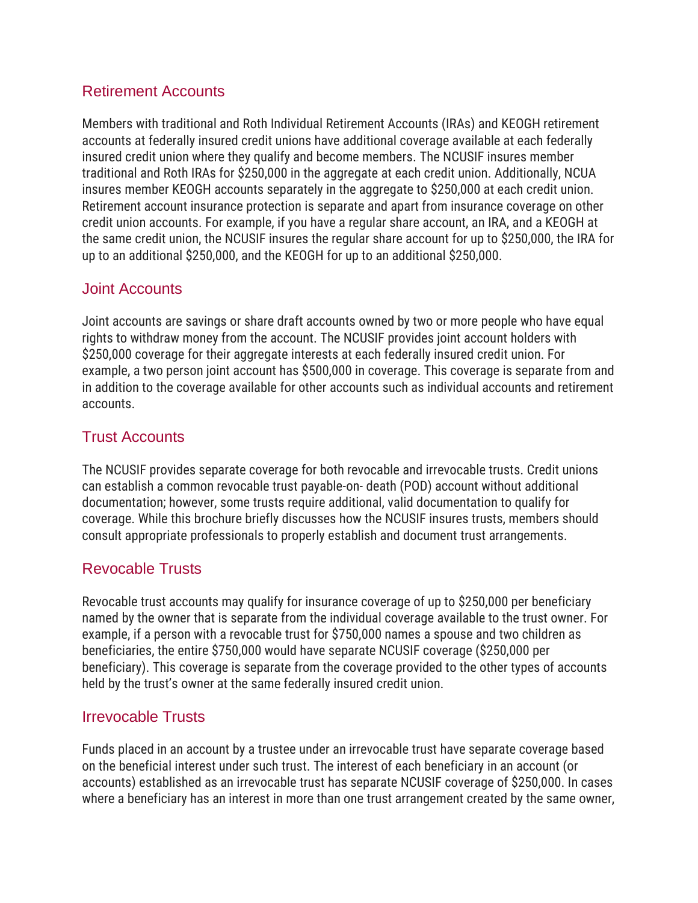#### Retirement Accounts

Members with traditional and Roth Individual Retirement Accounts (IRAs) and KEOGH retirement accounts at federally insured credit unions have additional coverage available at each federally insured credit union where they qualify and become members. The NCUSIF insures member traditional and Roth IRAs for \$250,000 in the aggregate at each credit union. Additionally, NCUA insures member KEOGH accounts separately in the aggregate to \$250,000 at each credit union. Retirement account insurance protection is separate and apart from insurance coverage on other credit union accounts. For example, if you have a regular share account, an IRA, and a KEOGH at the same credit union, the NCUSIF insures the regular share account for up to \$250,000, the IRA for up to an additional \$250,000, and the KEOGH for up to an additional \$250,000.

#### Joint Accounts

Joint accounts are savings or share draft accounts owned by two or more people who have equal rights to withdraw money from the account. The NCUSIF provides joint account holders with \$250,000 coverage for their aggregate interests at each federally insured credit union. For example, a two person joint account has \$500,000 in coverage. This coverage is separate from and in addition to the coverage available for other accounts such as individual accounts and retirement accounts.

#### Trust Accounts

The NCUSIF provides separate coverage for both revocable and irrevocable trusts. Credit unions can establish a common revocable trust payable-on- death (POD) account without additional documentation; however, some trusts require additional, valid documentation to qualify for coverage. While this brochure briefly discusses how the NCUSIF insures trusts, members should consult appropriate professionals to properly establish and document trust arrangements.

### Revocable Trusts

Revocable trust accounts may qualify for insurance coverage of up to \$250,000 per beneficiary named by the owner that is separate from the individual coverage available to the trust owner. For example, if a person with a revocable trust for \$750,000 names a spouse and two children as beneficiaries, the entire \$750,000 would have separate NCUSIF coverage (\$250,000 per beneficiary). This coverage is separate from the coverage provided to the other types of accounts held by the trust's owner at the same federally insured credit union.

#### Irrevocable Trusts

Funds placed in an account by a trustee under an irrevocable trust have separate coverage based on the beneficial interest under such trust. The interest of each beneficiary in an account (or accounts) established as an irrevocable trust has separate NCUSIF coverage of \$250,000. In cases where a beneficiary has an interest in more than one trust arrangement created by the same owner,